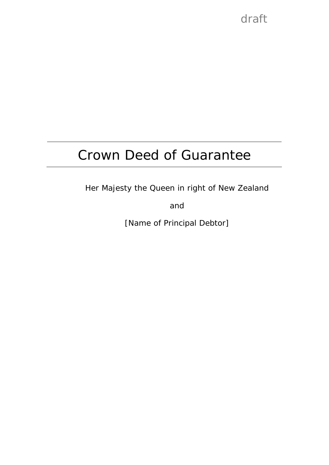draft

# Crown Deed of Guarantee

Her Majesty the Queen in right of New Zealand

and

[Name of Principal Debtor]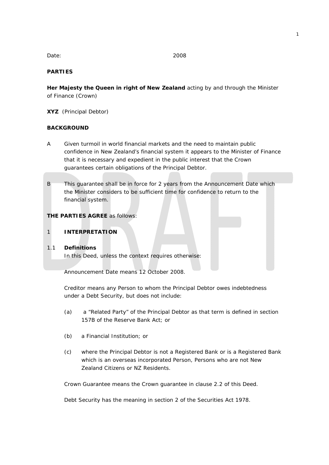#### *Date:* 2008

## **PARTIES**

**Her Majesty the Queen in right of New Zealand** acting by and through the Minister of Finance (*Crown*)

**XYZ** (*Principal Debtor*)

#### **BACKGROUND**

- A Given turmoil in world financial markets and the need to maintain public confidence in New Zealand's financial system it appears to the Minister of Finance that it is necessary and expedient in the public interest that the Crown guarantees certain obligations of the Principal Debtor.
- B This guarantee shall be in force for 2 years from the Announcement Date which the Minister considers to be sufficient time for confidence to return to the financial system.

## **THE PARTIES AGREE** as follows:

1 **INTERPRETATION** 

## 1.1 **Definitions**

In this Deed, unless the context requires otherwise:

*Announcement Date* means 12 October 2008.

*Creditor* means any Person to whom the Principal Debtor owes indebtedness under a Debt Security, but does not include:

- (a) a "Related Party" of the Principal Debtor as that term is defined in section 157B of the Reserve Bank Act; or
- (b) a Financial Institution; or
- (c) where the Principal Debtor is not a Registered Bank or is a Registered Bank which is an overseas incorporated Person, Persons who are not New Zealand Citizens or NZ Residents.

*Crown Guarantee* means the Crown guarantee in clause 2.2 of this Deed.

*Debt Security* has the meaning in section 2 of the Securities Act 1978.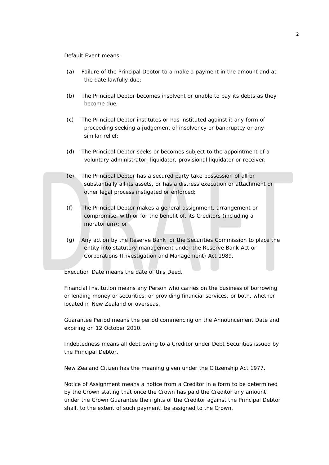#### *Default Event* means:

- (a) Failure of the Principal Debtor to a make a payment in the amount and at the date lawfully due;
- (b) The Principal Debtor becomes insolvent or unable to pay its debts as they become due;
- (c) The Principal Debtor institutes or has instituted against it any form of proceeding seeking a judgement of insolvency or bankruptcy or any similar relief;
- (d) The Principal Debtor seeks or becomes subject to the appointment of a voluntary administrator, liquidator, provisional liquidator or receiver;
- (e) The Principal Debtor has a secured party take possession of all or substantially all its assets, or has a distress execution or attachment or other legal process instigated or enforced;
- (f) The Principal Debtor makes a general assignment, arrangement or compromise, with or for the benefit of, its Creditors (including a moratorium); or
- (g) Any action by the Reserve Bank or the Securities Commission to place the entity into statutory management under the Reserve Bank Act or Corporations (Investigation and Management) Act 1989.

*Execution Date* means the date of this Deed.

*Financial Institution* means any Person who carries on the business of borrowing or lending money or securities, or providing financial services, or both, whether located in New Zealand or overseas.

*Guarantee Period* means the period commencing on the Announcement Date and expiring on 12 October 2010.

*Indebtedness* means all debt owing to a Creditor under Debt Securities issued by the Principal Debtor.

*New Zealand Citizen* has the meaning given under the Citizenship Act 1977.

*Notice of Assignment* means a notice from a Creditor in a form to be determined by the Crown stating that once the Crown has paid the Creditor any amount under the Crown Guarantee the rights of the Creditor against the Principal Debtor shall, to the extent of such payment, be assigned to the Crown.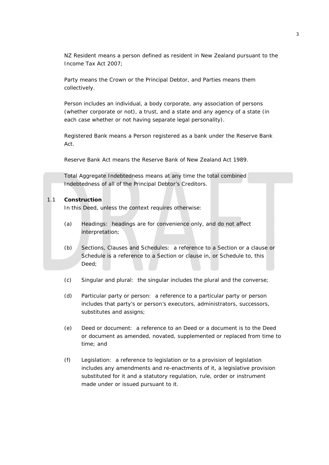*NZ Resident* means a person defined as resident in New Zealand pursuant to the Income Tax Act 2007;

*Party* means the Crown or the Principal Debtor, and *Parties* means them collectively.

*Person* includes an individual, a body corporate, any association of persons (whether corporate or not), a trust, and a state and any agency of a state (in each case whether or not having separate legal personality).

*Registered Bank* means a Person registered as a bank under the Reserve Bank Act.

*Reserve Bank Act* means the Reserve Bank of New Zealand Act 1989.

*Total Aggregate Indebtedness* means at any time the total combined Indebtedness of all of the Principal Debtor's Creditors.

#### 1.1 **Construction**

In this Deed, unless the context requires otherwise:

- (a) *Headings:* headings are for convenience only, and do not affect interpretation;
- (b) *Sections, Clauses and Schedules:* a reference to a Section or a clause or Schedule is a reference to a Section or clause in, or Schedule to, this Deed;
- (c) *Singular and plural:* the singular includes the plural and the converse;
- (d) *Particular party or person:* a reference to a particular party or person includes that party's or person's executors, administrators, successors, substitutes and assigns;
- (e) *Deed or document:* a reference to an *Deed* or a *document* is to the Deed or document as amended, novated, supplemented or replaced from time to time; and
- (f) *Legislation:* a reference to legislation or to a provision of legislation includes any amendments and re-enactments of it, a legislative provision substituted for it and a statutory regulation, rule, order or instrument made under or issued pursuant to it.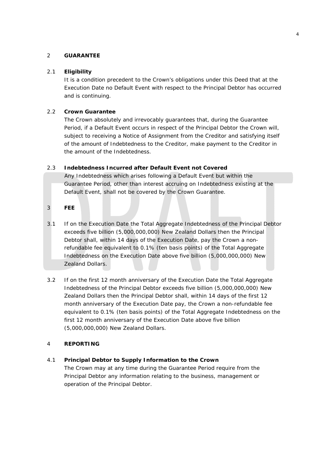#### 2 **GUARANTEE**

#### 2.1 **Eligibility**

It is a condition precedent to the Crown's obligations under this Deed that at the Execution Date no Default Event with respect to the Principal Debtor has occurred and is continuing.

## 2.2 **Crown Guarantee**

The Crown absolutely and irrevocably guarantees that, during the Guarantee Period, if a Default Event occurs in respect of the Principal Debtor the Crown will, subject to receiving a Notice of Assignment from the Creditor and satisfying itself of the amount of Indebtedness to the Creditor, make payment to the Creditor in the amount of the Indebtedness.

## 2.3 **Indebtedness Incurred after Default Event not Covered**

Any Indebtedness which arises following a Default Event but within the Guarantee Period, other than interest accruing on Indebtedness existing at the Default Event, shall not be covered by the Crown Guarantee.

## 3 **FEE**

- 3.1 If on the Execution Date the Total Aggregate Indebtedness of the Principal Debtor exceeds five billion (5,000,000,000) New Zealand Dollars then the Principal Debtor shall, within 14 days of the Execution Date, pay the Crown a nonrefundable fee equivalent to 0.1% (ten basis points) of the Total Aggregate Indebtedness on the Execution Date above five billion (5,000,000,000) New Zealand Dollars.
- 3.2 If on the first 12 month anniversary of the Execution Date the Total Aggregate Indebtedness of the Principal Debtor exceeds five billion (5,000,000,000) New Zealand Dollars then the Principal Debtor shall, within 14 days of the first 12 month anniversary of the Execution Date pay, the Crown a non-refundable fee equivalent to 0.1% (ten basis points) of the Total Aggregate Indebtedness on the first 12 month anniversary of the Execution Date above five billion (5,000,000,000) New Zealand Dollars.

#### 4 **REPORTING**

## 4.1 **Principal Debtor to Supply Information to the Crown**

The Crown may at any time during the Guarantee Period require from the Principal Debtor any information relating to the business, management or operation of the Principal Debtor.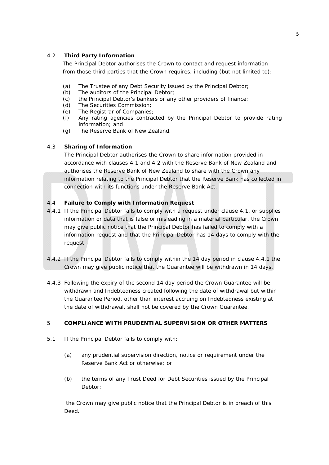## 4.2 **Third Party Information**

The Principal Debtor authorises the Crown to contact and request information from those third parties that the Crown requires, including (but not limited to):

- (a) The Trustee of any Debt Security issued by the Principal Debtor;
- (b) The auditors of the Principal Debtor;
- (c) the Principal Debtor's bankers or any other providers of finance;
- (d) The Securities Commission;
- (e) The Registrar of Companies;
- (f) Any rating agencies contracted by the Principal Debtor to provide rating information; and
- (g) The Reserve Bank of New Zealand.

## 4.3 **Sharing of Information**

The Principal Debtor authorises the Crown to share information provided in accordance with clauses 4.1 and 4.2 with the Reserve Bank of New Zealand and authorises the Reserve Bank of New Zealand to share with the Crown any information relating to the Principal Debtor that the Reserve Bank has collected in connection with its functions under the Reserve Bank Act.

## 4.4 **Failure to Comply with Information Request**

- 4.4.1 If the Principal Debtor fails to comply with a request under clause 4.1, or supplies information or data that is false or misleading in a material particular, the Crown may give public notice that the Principal Debtor has failed to comply with a information request and that the Principal Debtor has 14 days to comply with the request.
- 4.4.2 If the Principal Debtor fails to comply within the 14 day period in clause 4.4.1 the Crown may give public notice that the Guarantee will be withdrawn in 14 days.
- 4.4.3 Following the expiry of the second 14 day period the Crown Guarantee will be withdrawn and Indebtedness created following the date of withdrawal but within the Guarantee Period, other than interest accruing on Indebtedness existing at the date of withdrawal, shall not be covered by the Crown Guarantee.

## 5 **COMPLIANCE WITH PRUDENTIAL SUPERVISION OR OTHER MATTERS**

- 5.1 If the Principal Debtor fails to comply with:
	- (a) any prudential supervision direction, notice or requirement under the Reserve Bank Act or otherwise; or
	- (b) the terms of any Trust Deed for Debt Securities issued by the Principal Debtor;

 the Crown may give public notice that the Principal Debtor is in breach of this Deed.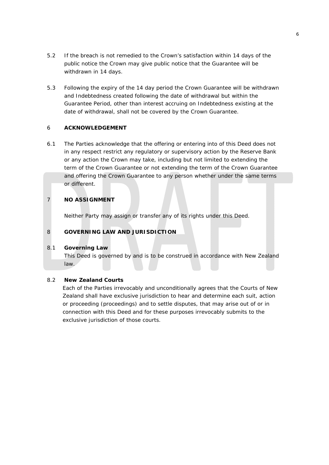- 5.2 If the breach is not remedied to the Crown's satisfaction within 14 days of the public notice the Crown may give public notice that the Guarantee will be withdrawn in 14 days.
- 5.3 Following the expiry of the 14 day period the Crown Guarantee will be withdrawn and Indebtedness created following the date of withdrawal but within the Guarantee Period, other than interest accruing on Indebtedness existing at the date of withdrawal, shall not be covered by the Crown Guarantee.

#### 6 **ACKNOWLEDGEMENT**

6.1 The Parties acknowledge that the offering or entering into of this Deed does not in any respect restrict any regulatory or supervisory action by the Reserve Bank or any action the Crown may take, including but not limited to extending the term of the Crown Guarantee or not extending the term of the Crown Guarantee and offering the Crown Guarantee to any person whether under the same terms or different.

## 7 **NO ASSIGNMENT**

Neither Party may assign or transfer any of its rights under this Deed.

## 8 **GOVERNING LAW AND JURISDICTION**

#### 8.1 **Governing Law**

This Deed is governed by and is to be construed in accordance with New Zealand law.

#### 8.2 **New Zealand Courts**

Each of the Parties irrevocably and unconditionally agrees that the Courts of New Zealand shall have exclusive jurisdiction to hear and determine each suit, action or proceeding (proceedings) and to settle disputes, that may arise out of or in connection with this Deed and for these purposes irrevocably submits to the exclusive jurisdiction of those courts.